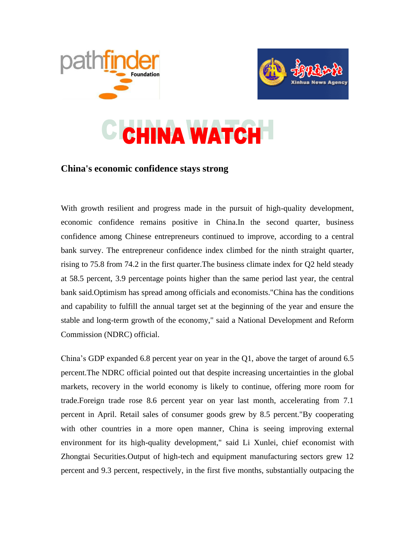



## **CHINA WATCH**

## **China's economic confidence stays strong**

With growth resilient and progress made in the pursuit of high-quality development, economic confidence remains positive in China.In the second quarter, business confidence among Chinese entrepreneurs continued to improve, according to a central bank survey. The entrepreneur confidence index climbed for the ninth straight quarter, rising to 75.8 from 74.2 in the first quarter.The business climate index for Q2 held steady at 58.5 percent, 3.9 percentage points higher than the same period last year, the central bank said.Optimism has spread among officials and economists."China has the conditions and capability to fulfill the annual target set at the beginning of the year and ensure the stable and long-term growth of the economy," said a National Development and Reform Commission (NDRC) official.

China's GDP expanded 6.8 percent year on year in the Q1, above the target of around 6.5 percent.The NDRC official pointed out that despite increasing uncertainties in the global markets, recovery in the world economy is likely to continue, offering more room for trade.Foreign trade rose 8.6 percent year on year last month, accelerating from 7.1 percent in April. Retail sales of consumer goods grew by 8.5 percent."By cooperating with other countries in a more open manner, China is seeing improving external environment for its high-quality development," said Li Xunlei, chief economist with Zhongtai Securities.Output of high-tech and equipment manufacturing sectors grew 12 percent and 9.3 percent, respectively, in the first five months, substantially outpacing the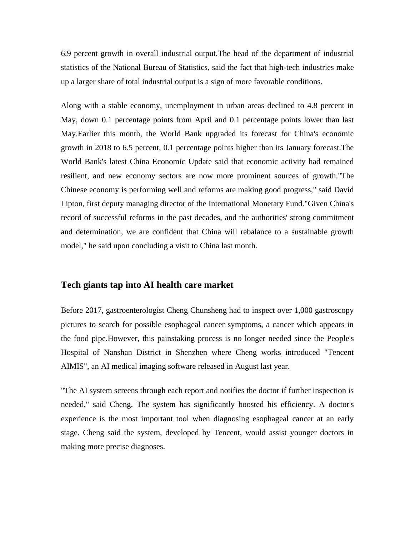6.9 percent growth in overall industrial output.The head of the department of industrial statistics of the National Bureau of Statistics, said the fact that high-tech industries make up a larger share of total industrial output is a sign of more favorable conditions.

Along with a stable economy, unemployment in urban areas declined to 4.8 percent in May, down 0.1 percentage points from April and 0.1 percentage points lower than last May.Earlier this month, the World Bank upgraded its forecast for China's economic growth in 2018 to 6.5 percent, 0.1 percentage points higher than its January forecast.The World Bank's latest China Economic Update said that economic activity had remained resilient, and new economy sectors are now more prominent sources of growth."The Chinese economy is performing well and reforms are making good progress," said David Lipton, first deputy managing director of the International Monetary Fund."Given China's record of successful reforms in the past decades, and the authorities' strong commitment and determination, we are confident that China will rebalance to a sustainable growth model," he said upon concluding a visit to China last month.

## **Tech giants tap into AI health care market**

Before 2017, gastroenterologist Cheng Chunsheng had to inspect over 1,000 gastroscopy pictures to search for possible esophageal cancer symptoms, a cancer which appears in the food pipe.However, this painstaking process is no longer needed since the People's Hospital of Nanshan District in Shenzhen where Cheng works introduced "Tencent AIMIS", an AI medical imaging software released in August last year.

"The AI system screens through each report and notifies the doctor if further inspection is needed," said Cheng. The system has significantly boosted his efficiency. A doctor's experience is the most important tool when diagnosing esophageal cancer at an early stage. Cheng said the system, developed by Tencent, would assist younger doctors in making more precise diagnoses.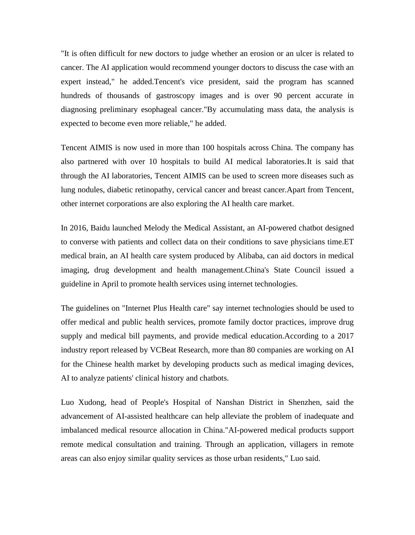"It is often difficult for new doctors to judge whether an erosion or an ulcer is related to cancer. The AI application would recommend younger doctors to discuss the case with an expert instead," he added.Tencent's vice president, said the program has scanned hundreds of thousands of gastroscopy images and is over 90 percent accurate in diagnosing preliminary esophageal cancer."By accumulating mass data, the analysis is expected to become even more reliable," he added.

Tencent AIMIS is now used in more than 100 hospitals across China. The company has also partnered with over 10 hospitals to build AI medical laboratories.It is said that through the AI laboratories, Tencent AIMIS can be used to screen more diseases such as lung nodules, diabetic retinopathy, cervical cancer and breast cancer.Apart from Tencent, other internet corporations are also exploring the AI health care market.

In 2016, Baidu launched Melody the Medical Assistant, an AI-powered chatbot designed to converse with patients and collect data on their conditions to save physicians time.ET medical brain, an AI health care system produced by Alibaba, can aid doctors in medical imaging, drug development and health management.China's State Council issued a guideline in April to promote health services using internet technologies.

The guidelines on "Internet Plus Health care" say internet technologies should be used to offer medical and public health services, promote family doctor practices, improve drug supply and medical bill payments, and provide medical education.According to a 2017 industry report released by VCBeat Research, more than 80 companies are working on AI for the Chinese health market by developing products such as medical imaging devices, AI to analyze patients' clinical history and chatbots.

Luo Xudong, head of People's Hospital of Nanshan District in Shenzhen, said the advancement of AI-assisted healthcare can help alleviate the problem of inadequate and imbalanced medical resource allocation in China."AI-powered medical products support remote medical consultation and training. Through an application, villagers in remote areas can also enjoy similar quality services as those urban residents," Luo said.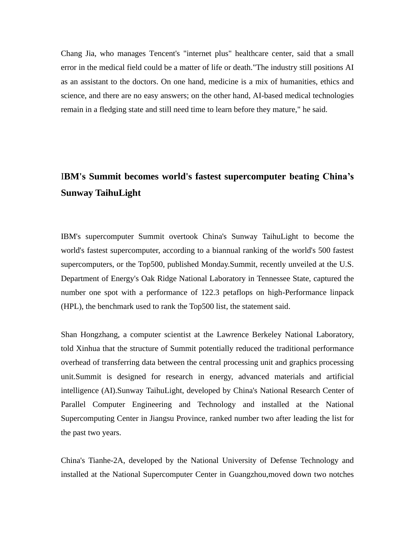Chang Jia, who manages Tencent's "internet plus" healthcare center, said that a small error in the medical field could be a matter of life or death."The industry still positions AI as an assistant to the doctors. On one hand, medicine is a mix of humanities, ethics and science, and there are no easy answers; on the other hand, AI-based medical technologies remain in a fledging state and still need time to learn before they mature," he said.

## I**BM's Summit becomes world's fastest supercomputer beating China's Sunway TaihuLight**

IBM's supercomputer Summit overtook China's Sunway TaihuLight to become the world's fastest supercomputer, according to a biannual ranking of the world's 500 fastest supercomputers, or the Top500, published Monday.Summit, recently unveiled at the U.S. Department of Energy's Oak Ridge National Laboratory in Tennessee State, captured the number one spot with a performance of 122.3 petaflops on high-Performance linpack (HPL), the benchmark used to rank the Top500 list, the statement said.

Shan Hongzhang, a computer scientist at the Lawrence Berkeley National Laboratory, told Xinhua that the structure of Summit potentially reduced the traditional performance overhead of transferring data between the central processing unit and graphics processing unit.Summit is designed for research in energy, advanced materials and artificial intelligence (AI).Sunway TaihuLight, developed by China's National Research Center of Parallel Computer Engineering and Technology and installed at the National Supercomputing Center in Jiangsu Province, ranked number two after leading the list for the past two years.

China's Tianhe-2A, developed by the National University of Defense Technology and installed at the National Supercomputer Center in Guangzhou,moved down two notches